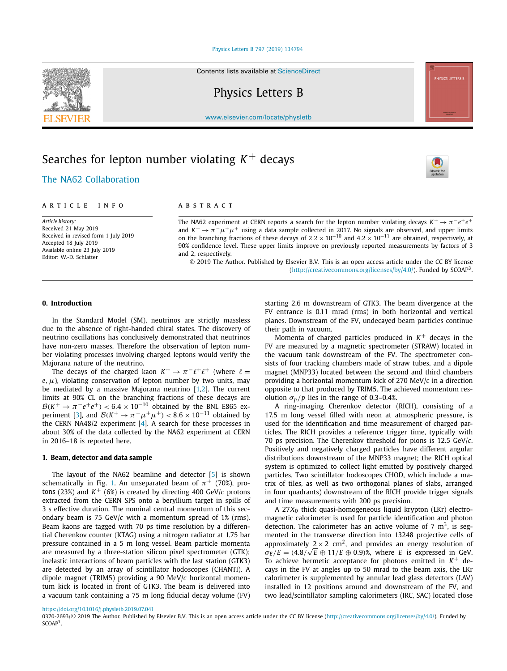#### [Physics Letters B 797 \(2019\) 134794](https://doi.org/10.1016/j.physletb.2019.07.041)

Contents lists available at [ScienceDirect](http://www.ScienceDirect.com/)

Physics Letters B

[www.elsevier.com/locate/physletb](http://www.elsevier.com/locate/physletb)

# Searches for lepton number violating  $K^+$  decays

## .The NA62 [Collaboration](#page-5-0)

Received in revised form 1 July 2019

#### A R T I C L E I N F O A B S T R A C T

The NA62 experiment at CERN reports a search for the lepton number violating decays  $K^+ \rightarrow \pi^- e^+ e^+$ and  $K^+ \to \pi^- \mu^+ \mu^+$  using a data sample collected in 2017. No signals are observed, and upper limits on the branching fractions of these decays of  $2.2 \times 10^{-10}$  and  $4.2 \times 10^{-11}$  are obtained, respectively, at 90% confidence level. These upper limits improve on previously reported measurements by factors of 3 and 2, respectively.

© 2019 The Author. Published by Elsevier B.V. This is an open access article under the CC BY license [\(http://creativecommons.org/licenses/by/4.0/\)](http://creativecommons.org/licenses/by/4.0/). Funded by SCOAP3.

#### **0. Introduction**

Accepted 18 July 2019 Available online 23 July 2019 Editor: W.-D. Schlatter

*Article history:* Received 21 May 2019

In the Standard Model (SM), neutrinos are strictly massless due to the absence of right-handed chiral states. The discovery of neutrino oscillations has conclusively demonstrated that neutrinos have non-zero masses. Therefore the observation of lepton number violating processes involving charged leptons would verify the Majorana nature of the neutrino.

The decays of the charged kaon  $K^+ \to \pi^- \ell^+ \ell^+$  (where  $\ell =$  $e, \mu$ ), violating conservation of lepton number by two units, may be mediated by a massive Majorana neutrino [\[1,2\]](#page-5-0). The current limits at 90% CL on the branching fractions of these decays are  $B(K^+ \to \pi^- e^+ e^+)$  < 6.4 × 10<sup>-10</sup> obtained by the BNL E865 ex-periment [\[3\]](#page-5-0), and  $\mathcal{B}(K^+ \to \pi^- \mu^+ \mu^+) < 8.6 \times 10^{-11}$  obtained by the CERN NA48/2 experiment [\[4\]](#page-5-0). A search for these processes in about 30% of the data collected by the NA62 experiment at CERN in 2016–18 is reported here.

#### **1. Beam, detector and data sample**

The layout of the NA62 beamline and detector [\[5\]](#page-5-0) is shown schematically in Fig. [1.](#page-1-0) An unseparated beam of  $\pi^+$  (70%), protons (23%) and  $K^+$  (6%) is created by directing 400 GeV/ $c$  protons extracted from the CERN SPS onto a beryllium target in spills of 3 s effective duration. The nominal central momentum of this secondary beam is 75 GeV/*c* with a momentum spread of 1% (rms). Beam kaons are tagged with 70 ps time resolution by a differential Cherenkov counter (KTAG) using a nitrogen radiator at 1.75 bar pressure contained in a 5 m long vessel. Beam particle momenta are measured by a three-station silicon pixel spectrometer (GTK); inelastic interactions of beam particles with the last station (GTK3) are detected by an array of scintillator hodoscopes (CHANTI). A dipole magnet (TRIM5) providing a 90 MeV/*c* horizontal momentum kick is located in front of GTK3. The beam is delivered into a vacuum tank containing a 75 m long fiducial decay volume (FV)

starting 2.6 m downstream of GTK3. The beam divergence at the FV entrance is 0.11 mrad (rms) in both horizontal and vertical planes. Downstream of the FV, undecayed beam particles continue their path in vacuum.

Momenta of charged particles produced in  $K<sup>+</sup>$  decays in the FV are measured by a magnetic spectrometer (STRAW) located in the vacuum tank downstream of the FV. The spectrometer consists of four tracking chambers made of straw tubes, and a dipole magnet (MNP33) located between the second and third chambers providing a horizontal momentum kick of 270 MeV/*c* in a direction opposite to that produced by TRIM5. The achieved momentum resolution  $\sigma_p$ /*p* lies in the range of 0.3–0.4%.

A ring-imaging Cherenkov detector (RICH), consisting of a 17.5 m long vessel filled with neon at atmospheric pressure, is used for the identification and time measurement of charged particles. The RICH provides a reference trigger time, typically with 70 ps precision. The Cherenkov threshold for pions is 12.5 GeV/*c*. Positively and negatively charged particles have different angular distributions downstream of the MNP33 magnet; the RICH optical system is optimized to collect light emitted by positively charged particles. Two scintillator hodoscopes CHOD, which include a matrix of tiles, as well as two orthogonal planes of slabs, arranged in four quadrants) downstream of the RICH provide trigger signals and time measurements with 200 ps precision.

A 27*X*<sup>0</sup> thick quasi-homogeneous liquid krypton (LKr) electromagnetic calorimeter is used for particle identification and photon detection. The calorimeter has an active volume of 7  $m<sup>3</sup>$ , is segmented in the transverse direction into 13248 projective cells of approximately  $2 \times 2$  cm<sup>2</sup>, and provides an energy resolution of  $\sigma_E/E = (4.8/\sqrt{E} \oplus 11/E \oplus 0.9)$ %, where *E* is expressed in GeV. To achieve hermetic acceptance for photons emitted in  $K^+$  decays in the FV at angles up to 50 mrad to the beam axis, the LKr calorimeter is supplemented by annular lead glass detectors (LAV) installed in 12 positions around and downstream of the FV, and two lead/scintillator sampling calorimeters (IRC, SAC) located close







<sup>0370-2693/© 2019</sup> The Author. Published by Elsevier B.V. This is an open access article under the CC BY license [\(http://creativecommons.org/licenses/by/4.0/](http://creativecommons.org/licenses/by/4.0/)). Funded by SCOAP<sup>3</sup>.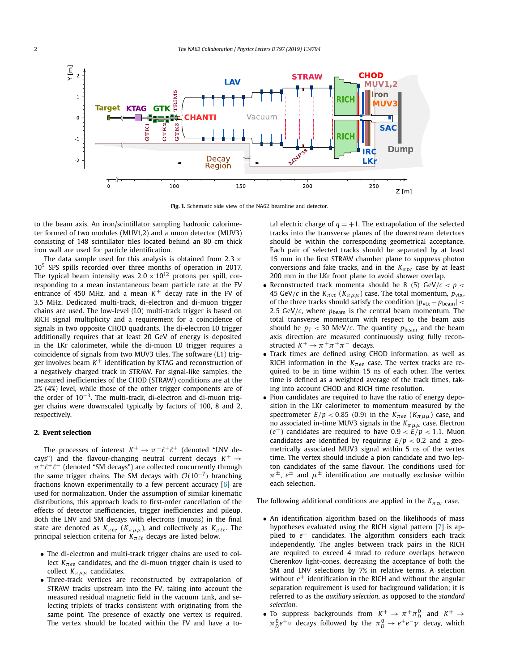<span id="page-1-0"></span>

**Fig. 1.** Schematic side view of the NA62 beamline and detector.

to the beam axis. An iron/scintillator sampling hadronic calorimeter formed of two modules (MUV1,2) and a muon detector (MUV3) consisting of 148 scintillator tiles located behind an 80 cm thick iron wall are used for particle identification.

The data sample used for this analysis is obtained from  $2.3 \times$ 105 SPS spills recorded over three months of operation in 2017. The typical beam intensity was  $2.0 \times 10^{12}$  protons per spill, corresponding to a mean instantaneous beam particle rate at the FV entrance of 450 MHz, and a mean  $K^+$  decay rate in the FV of 3.5 MHz. Dedicated multi-track, di-electron and di-muon trigger chains are used. The low-level (L0) multi-track trigger is based on RICH signal multiplicity and a requirement for a coincidence of signals in two opposite CHOD quadrants. The di-electron L0 trigger additionally requires that at least 20 GeV of energy is deposited in the LKr calorimeter, while the di-muon L0 trigger requires a coincidence of signals from two MUV3 tiles. The software (L1) trigger involves beam  $K^+$  identification by KTAG and reconstruction of a negatively charged track in STRAW. For signal-like samples, the measured inefficiencies of the CHOD (STRAW) conditions are at the 2% (4%) level, while those of the other trigger components are of the order of 10<sup>−</sup>3. The multi-track, di-electron and di-muon trigger chains were downscaled typically by factors of 100, 8 and 2, respectively.

#### **2. Event selection**

The processes of interest  $K^+ \to \pi^- \ell^+ \ell^+$  (denoted "LNV decays") and the flavour-changing neutral current decays  $K^+ \rightarrow$  $\pi^+\ell^+\ell^-$  (denoted "SM decays") are collected concurrently through the same trigger chains. The SM decays with  $O(10^{-7})$  branching fractions known experimentally to a few percent accuracy [\[6\]](#page-5-0) are used for normalization. Under the assumption of similar kinematic distributions, this approach leads to first-order cancellation of the effects of detector inefficiencies, trigger inefficiencies and pileup. Both the LNV and SM decays with electrons (muons) in the final state are denoted as  $K_{\pi}e$  ( $K_{\pi}$ µ<sub>µ</sub>), and collectively as  $K_{\pi}$ <sub>*l*</sub> $\ell$ </sub>. The principal selection criteria for  $K_{\pi\ell\ell}$  decays are listed below.

- The di-electron and multi-track trigger chains are used to collect  $K_{\pi ee}$  candidates, and the di-muon trigger chain is used to collect  $K_{\pi\mu\mu}$  candidates.
- Three-track vertices are reconstructed by extrapolation of STRAW tracks upstream into the FV, taking into account the measured residual magnetic field in the vacuum tank, and selecting triplets of tracks consistent with originating from the same point. The presence of exactly one vertex is required. The vertex should be located within the FV and have a to-

tal electric charge of  $q = +1$ . The extrapolation of the selected tracks into the transverse planes of the downstream detectors should be within the corresponding geometrical acceptance. Each pair of selected tracks should be separated by at least 15 mm in the first STRAW chamber plane to suppress photon conversions and fake tracks, and in the *Kπee* case by at least 200 mm in the LKr front plane to avoid shower overlap.

- Reconstructed track momenta should be 8 (5)  $GeV/c < p <$ 45 GeV/*c* in the  $K_{\pi ee}$  ( $K_{\pi\mu\mu}$ ) case. The total momentum,  $p_{\text{vtx}}$ , of the three tracks should satisfy the condition  $|p_{\text{vtx}} - p_{\text{beam}}|$  < 2.5 GeV/ $c$ , where  $p_{\text{beam}}$  is the central beam momentum. The total transverse momentum with respect to the beam axis should be  $p_T < 30$  MeV/*c*. The quantity  $p_{\text{beam}}$  and the beam axis direction are measured continuously using fully reconstructed  $K^+ \rightarrow \pi^+\pi^+\pi^-$  decays.
- Track times are defined using CHOD information, as well as RICH information in the *Kπee* case. The vertex tracks are required to be in time within 15 ns of each other. The vertex time is defined as a weighted average of the track times, taking into account CHOD and RICH time resolution.
- Pion candidates are required to have the ratio of energy deposition in the LKr calorimeter to momentum measured by the spectrometer  $E/p < 0.85$  (0.9) in the  $K_{\pi ee}$  ( $K_{\pi\mu\mu}$ ) case, and no associated in-time MUV3 signals in the *Kπμμ* case. Electron  $(e^{\pm})$  candidates are required to have  $0.9 < E/p < 1.1$ . Muon candidates are identified by requiring  $E/p < 0.2$  and a geometrically associated MUV3 signal within 5 ns of the vertex time. The vertex should include a pion candidate and two lepton candidates of the same flavour. The conditions used for  $\pi^{\pm}$ ,  $e^{\pm}$  and  $\mu^{\pm}$  identification are mutually exclusive within each selection.

The following additional conditions are applied in the *Kπee* case.

- An identification algorithm based on the likelihoods of mass hypotheses evaluated using the RICH signal pattern [\[7\]](#page-5-0) is applied to *e*+ candidates. The algorithm considers each track independently. The angles between track pairs in the RICH are required to exceed 4 mrad to reduce overlaps between Cherenkov light-cones, decreasing the acceptance of both the SM and LNV selections by 7% in relative terms. A selection without  $e^+$  identification in the RICH and without the angular separation requirement is used for background validation; it is referred to as the *auxiliary selection*, as opposed to the *standard selection*.
- To suppress backgrounds from  $K^+ \to \pi^+ \pi^0_D$  and  $K^+ \to$  $π_D^0e^+$ ν decays followed by the  $π_D^0 \rightarrow e^+e^-\gamma$  decay, which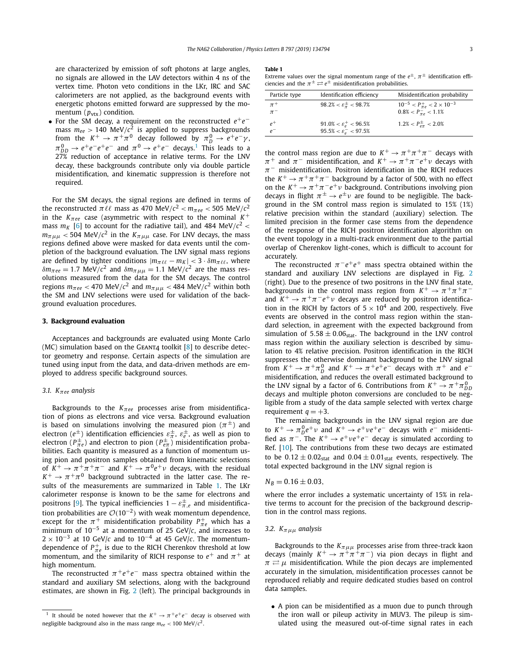<span id="page-2-0"></span>are characterized by emission of soft photons at large angles, no signals are allowed in the LAV detectors within 4 ns of the vertex time. Photon veto conditions in the LKr, IRC and SAC calorimeters are not applied, as the background events with energetic photons emitted forward are suppressed by the momentum  $(p_{\text{vtx}})$  condition.

• For the SM decay, a requirement on the reconstructed *e*+*e*<sup>−</sup> mass  $m_{ee} > 140 \text{ MeV}/c^2$  is applied to suppress backgrounds from the  $K^+ \to \pi^+\pi^0$  decay followed by  $\pi_D^0 \to e^+e^-\gamma$ ,  $\pi_{DD}^0 \rightarrow e^+e^-e^+e^-$  and  $\pi^0 \rightarrow e^+e^-$  decays.<sup>1</sup> This leads to a 27% reduction of acceptance in relative terms. For the LNV decay, these backgrounds contribute only via double particle misidentification, and kinematic suppression is therefore not required.

For the SM decays, the signal regions are defined in terms of the reconstructed  $\pi \ell \ell$  mass as 470 MeV/ $c^2$  <  $m_{\pi ee}$  < 505 MeV/ $c^2$ in the  $K_{\pi ee}$  case (asymmetric with respect to the nominal  $K^+$ mass  $m_K$  [\[6\]](#page-5-0) to account for the radiative tail), and 484 MeV/ $c^2$  <  $m_{\pi\mu\mu}$  < 504 MeV/ $c^2$  in the  $K_{\pi\mu\mu}$  case. For LNV decays, the mass regions defined above were masked for data events until the completion of the background evaluation. The LNV signal mass regions are defined by tighter conditions  $|m_{\pi \ell \ell} - m_K| < 3 \cdot \delta m_{\pi \ell \ell}$ , where *δm*<sub>*πee*</sub> = 1.7 MeV/*c*<sup>2</sup> and *δm*<sub>*πμμ*</sub> = 1.1 MeV/*c*<sup>2</sup> are the mass resolutions measured from the data for the SM decays. The control regions  $m_{\pi}$ <sub>ee</sub> < 470 MeV/ $c^2$  and  $m_{\pi\mu\mu}$  < 484 MeV/ $c^2$  within both the SM and LNV selections were used for validation of the background evaluation procedures.

#### **3. Background evaluation**

Acceptances and backgrounds are evaluated using Monte Carlo (MC) simulation based on the GEANT4 toolkit  $[8]$  to describe detector geometry and response. Certain aspects of the simulation are tuned using input from the data, and data-driven methods are employed to address specific background sources.

#### *3.1. Kπee analysis*

Backgrounds to the *Kπee* processes arise from misidentification of pions as electrons and vice versa. Background evaluation is based on simulations involving the measured pion  $(\pi^{\pm})$  and electron  $(e^{\pm})$  identification efficiencies  $\varepsilon^{\pm}_{\pi},\, \varepsilon^{\pm}_{e},$  as well as pion to electron ( $P^{\pm}_{\pi e}$ ) and electron to pion ( $P^{\pm}_{e\pi}$ ) misidentification probabilities. Each quantity is measured as a function of momentum using pion and positron samples obtained from kinematic selections of  $K^+ \to \pi^+\pi^+\pi^-$  and  $K^+ \to \pi^0e^+\nu$  decays, with the residual  $K^+ \rightarrow \pi^+\pi^0$  background subtracted in the latter case. The results of the measurements are summarized in Table 1. The LKr calorimeter response is known to be the same for electrons and  $\frac{1}{2}$  positrons [\[9\]](#page-5-0). The typical inefficiencies  $1 - \varepsilon^{\pm}_{\pi,e}$  and misidentification probabilities are <sup>O</sup>*(*10−<sup>2</sup>*)* with weak momentum dependence, except for the  $\pi^+$  misidentification probability  $P^+_{\pi e}$  which has a minimum of 10−<sup>5</sup> at a momentum of 25 GeV/*c*, and increases to  $2 \times 10^{-3}$  at 10 GeV/*c* and to 10<sup>-4</sup> at 45 GeV/*c*. The momentumdependence of  $P^+_{\pi e}$  is due to the RICH Cherenkov threshold at low momentum, and the similarity of RICH response to  $e^+$  and  $\pi^+$  at high momentum.

The reconstructed  $\pi^+e^+e^-$  mass spectra obtained within the standard and auxiliary SM selections, along with the background estimates, are shown in Fig. [2](#page-3-0) (left). The principal backgrounds in

#### **Table 1**

Extreme values over the signal momentum range of the  $e^{\pm}$ ,  $\pi^{\pm}$  identification efficiencies and the  $\pi^{\pm} \rightleftarrows e^{\pm}$  misidentification probabilities.

| Particle type      | Identification efficiency                                                              | Misidentification probability                                               |
|--------------------|----------------------------------------------------------------------------------------|-----------------------------------------------------------------------------|
| $\pi^+$<br>$\pi^-$ | $98.2\% < \varepsilon_{\pi}^{\pm} < 98.7\%$                                            | $10^{-5} < P_{\pi e}^+ < 2 \times 10^{-3}$<br>$0.8\% < P_{\pi\rho} < 1.1\%$ |
| $e^+$<br>$\rho^-$  | $91.0\% < \varepsilon_{\rho}^+ < 96.5\%$<br>$95.5\% < \varepsilon_{\rho}^{-} < 97.5\%$ | $1.2\% < P_{e\pi}^{\pm} < 2.0\%$                                            |

the control mass region are due to  $K^+ \rightarrow \pi^+ \pi^+ \pi^-$  decays with  $\pi^+$  and  $\pi^-$  misidentification, and  $K^+ \to \pi^+ \pi^- e^+ \nu$  decays with *π*<sup>−</sup> misidentification. Positron identification in the RICH reduces the  $K^+ \to \pi^+\pi^+\pi^-$  background by a factor of 500, with no effect on the  $K^+ \to \pi^+\pi^-e^+\nu$  background. Contributions involving pion decays in flight  $\pi^{\pm} \rightarrow e^{\pm} \nu$  are found to be negligible. The background in the SM control mass region is simulated to 15% (1%) relative precision within the standard (auxiliary) selection. The limited precision in the former case stems from the dependence of the response of the RICH positron identification algorithm on the event topology in a multi-track environment due to the partial overlap of Cherenkov light-cones, which is difficult to account for accurately.

The reconstructed  $\pi^-e^+e^+$  mass spectra obtained within the standard and auxiliary LNV selections are displayed in Fig. [2](#page-3-0) (right). Due to the presence of two positrons in the LNV final state, backgrounds in the control mass region from  $K^+ \rightarrow \pi^+\pi^+\pi^$ and  $K^+ \rightarrow \pi^+\pi^-e^+\nu$  decays are reduced by positron identification in the RICH by factors of  $5 \times 10^4$  and 200, respectively. Five events are observed in the control mass region within the standard selection, in agreement with the expected background from simulation of  $5.58 \pm 0.06$ <sub>stat</sub>. The background in the LNV control mass region within the auxiliary selection is described by simulation to 4% relative precision. Positron identification in the RICH suppresses the otherwise dominant background to the LNV signal from  $K^+ \to \pi^+\pi^0$  and  $K^+ \to \pi^+e^+e^-$  decays with  $\pi^+$  and  $e^$ misidentification, and reduces the overall estimated background to the LNV signal by a factor of 6. Contributions from  $K^+ \to \pi^+ \pi^0_{DD}$ decays and multiple photon conversions are concluded to be negligible from a study of the data sample selected with vertex charge requirement  $q = +3$ .

The remaining backgrounds in the LNV signal region are due to  $K^+ \to \pi_D^0 e^+ \nu$  and  $K^+ \to e^+ \nu e^+ e^-$  decays with  $e^-$  misidentified as  $\pi^-$ . The  $K^+ \rightarrow e^+ \nu e^+ e^-$  decay is simulated according to Ref. [\[10\]](#page-5-0). The contributions from these two decays are estimated to be  $0.12 \pm 0.02$ <sub>stat</sub> and  $0.04 \pm 0.01$ <sub>stat</sub> events, respectively. The total expected background in the LNV signal region is

#### $N_B = 0.16 \pm 0.03$

where the error includes a systematic uncertainty of 15% in relative terms to account for the precision of the background description in the control mass regions.

#### *3.2. Kπμμ analysis*

Backgrounds to the  $K_{\pi\mu\mu}$  processes arise from three-track kaon decays (mainly  $K^+ \to \pi^+ \pi^+ \pi^-$ ) via pion decays in flight and  $\pi \rightleftarrows \mu$  misidentification. While the pion decays are implemented accurately in the simulation, misidentification processes cannot be reproduced reliably and require dedicated studies based on control data samples.

• A pion can be misidentified as a muon due to punch through the iron wall or pileup activity in MUV3. The pileup is simulated using the measured out-of-time signal rates in each

<sup>&</sup>lt;sup>1</sup> It should be noted however that the  $K^+ \rightarrow \pi^+e^+e^-$  decay is observed with negligible background also in the mass range  $m_{ee}$  < 100 MeV/ $c^2$ .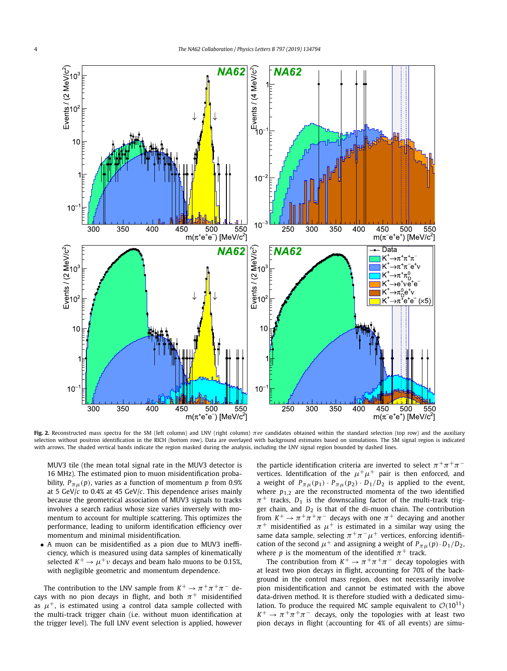<span id="page-3-0"></span>

**Fig. 2.** Reconstructed mass spectra for the SM (left column) and LNV (right column) *πee* candidates obtained within the standard selection (top row) and the auxiliary selection without positron identification in the RICH (bottom row). Data are overlayed with background estimates based on simulations. The SM signal region is indicated with arrows. The shaded vertical bands indicate the region masked during the analysis, including the LNV signal region bounded by dashed lines.

MUV3 tile (the mean total signal rate in the MUV3 detector is 16 MHz). The estimated pion to muon misidentification probability,  $P_{\pi\mu}(p)$ , varies as a function of momentum *p* from 0.9% at 5 GeV/*c* to 0.4% at 45 GeV/*c*. This dependence arises mainly because the geometrical association of MUV3 signals to tracks involves a search radius whose size varies inversely with momentum to account for multiple scattering. This optimizes the performance, leading to uniform identification efficiency over momentum and minimal misidentification.

• A muon can be misidentified as a pion due to MUV3 inefficiency, which is measured using data samples of kinematically selected  $K^+ \rightarrow \mu^+ \nu$  decays and beam halo muons to be 0.15%, with negligible geometric and momentum dependence.

The contribution to the LNV sample from  $K^+ \to \pi^+ \pi^+ \pi^-$  decays with no pion decays in flight, and both  $\pi^+$  misidentified as  $\mu^+$ , is estimated using a control data sample collected with the multi-track trigger chain (i.e. without muon identification at the trigger level). The full LNV event selection is applied, however the particle identification criteria are inverted to select  $\pi^+\pi^+\pi^$ vertices. Identification of the  $\mu^+\mu^+$  pair is then enforced, and a weight of  $P_{\pi\mu}(p_1) \cdot P_{\pi\mu}(p_2) \cdot D_1/D_2$  is applied to the event, where  $p_{1,2}$  are the reconstructed momenta of the two identified  $\pi^+$  tracks,  $D_1$  is the downscaling factor of the multi-track trigger chain, and  $D_2$  is that of the di-muon chain. The contribution from  $K^+ \to \pi^+\pi^+\pi^-$  decays with one  $\pi^+$  decaying and another  $\pi^+$  misidentified as  $\mu^+$  is estimated in a similar way using the same data sample, selecting  $\pi^+\pi^-\mu^+$  vertices, enforcing identification of the second  $\mu^+$  and assigning a weight of  $P_{\pi\mu}(p) \cdot D_1/D_2$ , where *p* is the momentum of the identified  $\pi^+$  track.

The contribution from  $K^+ \to \pi^+ \pi^+ \pi^-$  decay topologies with at least two pion decays in flight, accounting for 70% of the background in the control mass region, does not necessarily involve pion misidentification and cannot be estimated with the above data-driven method. It is therefore studied with a dedicated simulation. To produce the required MC sample equivalent to  $\mathcal{O}(10^{11})$  $K^+ \rightarrow \pi^+\pi^+\pi^-$  decays, only the topologies with at least two pion decays in flight (accounting for 4% of all events) are simu-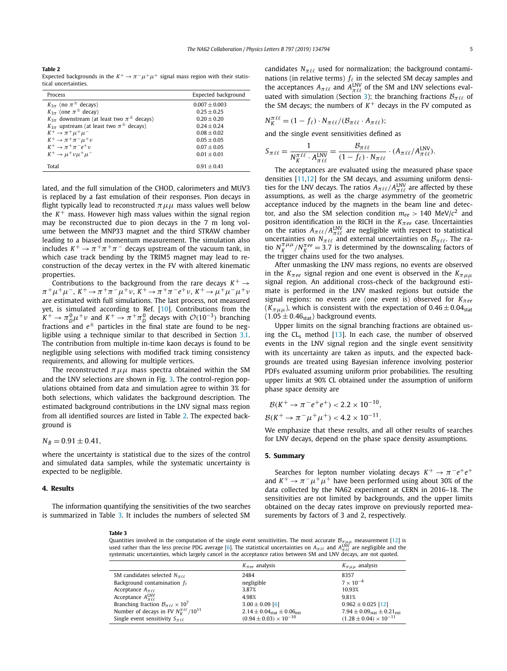#### **Table 2**

Expected backgrounds in the  $K^+ \to \pi^- \mu^+ \mu^+$  signal mass region with their statistical uncertainties.

| Process                                                 | Expected background |
|---------------------------------------------------------|---------------------|
| $K_{3\pi}$ (no $\pi^{\pm}$ decays)                      | $0.007 + 0.003$     |
| $K_{3\pi}$ (one $\pi^{\pm}$ decay)                      | $0.25 + 0.25$       |
| $K_{3\pi}$ downstream (at least two $\pi^{\pm}$ decays) | $0.20 + 0.20$       |
| $K_{3\pi}$ upstream (at least two $\pi^{\pm}$ decays)   | $0.24 + 0.24$       |
| $K^+ \rightarrow \pi^+ \mu^+ \mu^-$                     | $0.08 + 0.02$       |
| $K^+ \rightarrow \pi^+ \pi^- \mu^+ \nu$                 | $0.05 + 0.05$       |
| $K^+ \rightarrow \pi^+ \pi^- e^+ \nu$                   | $0.07 + 0.05$       |
| $K^+ \rightarrow \mu^+ \nu \mu^+ \mu^-$                 | $0.01 + 0.01$       |
| Total                                                   | $0.91 + 0.41$       |

lated, and the full simulation of the CHOD, calorimeters and MUV3 is replaced by a fast emulation of their responses. Pion decays in flight typically lead to reconstructed  $\pi \mu \mu$  mass values well below the  $K^+$  mass. However high mass values within the signal region may be reconstructed due to pion decays in the 7 m long volume between the MNP33 magnet and the third STRAW chamber leading to a biased momentum measurement. The simulation also includes  $K^+ \rightarrow \pi^+\pi^+\pi^-$  decays upstream of the vacuum tank, in which case track bending by the TRIM5 magnet may lead to reconstruction of the decay vertex in the FV with altered kinematic properties.

Contributions to the background from the rare decays  $K^+ \rightarrow$  $\pi^+ \mu^+ \mu^-$ ,  $K^+ \to \pi^+ \pi^- \mu^+ \nu$ ,  $K^+ \to \pi^+ \pi^- e^+ \nu$ ,  $K^+ \to \mu^+ \mu^- \mu^+ \nu$ are estimated with full simulations. The last process, not measured yet, is simulated according to Ref. [\[10\]](#page-5-0). Contributions from the  $K^+ \to \pi_D^0 \mu^+ \nu$  and  $K^+ \to \pi^+ \pi_D^0$  decays with  $\mathcal{O}(10^{-3})$  branching fractions and  $e^{\pm}$  particles in the final state are found to be negligible using a technique similar to that described in Section [3.1.](#page-2-0) The contribution from multiple in-time kaon decays is found to be negligible using selections with modified track timing consistency requirements, and allowing for multiple vertices.

The reconstructed  $\pi \mu \mu$  mass spectra obtained within the SM and the LNV selections are shown in Fig. [3.](#page-5-0) The control-region populations obtained from data and simulation agree to within 3% for both selections, which validates the background description. The estimated background contributions in the LNV signal mass region from all identified sources are listed in Table 2. The expected background is

#### $N_B = 0.91 \pm 0.41$ ,

where the uncertainty is statistical due to the sizes of the control and simulated data samples, while the systematic uncertainty is expected to be negligible.

#### **4. Results**

The information quantifying the sensitivities of the two searches is summarized in Table 3. It includes the numbers of selected SM

candidates  $N_{\pi\ell\ell}$  used for normalization; the background contaminations (in relative terms)  $f_{\ell}$  in the selected SM decay samples and the acceptances  $A_{\pi\ell\ell}$  and  $A_{\pi\ell\ell}^{\text{LNV}}$  of the SM and LNV selections eval-uated with simulation (Section [3\)](#page-2-0); the branching fractions  $B_{\pi\ell\ell}$  of the SM decays; the numbers of  $K<sup>+</sup>$  decays in the FV computed as

$$
N_K^{\pi \ell \ell} = (1 - f_\ell) \cdot N_{\pi \ell \ell} / (\mathcal{B}_{\pi \ell \ell} \cdot A_{\pi \ell \ell});
$$

and the single event sensitivities defined as

$$
S_{\pi \ell \ell} = \frac{1}{N_K^{\pi \ell \ell} \cdot A_{\pi \ell \ell}^{\text{INV}}} = \frac{\mathcal{B}_{\pi \ell \ell}}{(1 - f_{\ell}) \cdot N_{\pi \ell \ell}} \cdot (\mathcal{A}_{\pi \ell \ell} / A_{\pi \ell \ell}^{\text{INV}}).
$$

The acceptances are evaluated using the measured phase space densities [\[11,12\]](#page-5-0) for the SM decays, and assuming uniform densities for the LNV decays. The ratios  $A_{\pi\ell\ell}/A_{\pi\ell\ell}^{\text{INV}}$  are affected by these assumptions, as well as the charge asymmetry of the geometric acceptance induced by the magnets in the beam line and detector, and also the SM selection condition  $m_{ee} > 140 \text{ MeV}/c^2$  and positron identification in the RICH in the *Kπee* case. Uncertainties on the ratios  $A_{\pi\ell\ell}/A_{\pi\ell\ell}^{\text{INV}}$  are negligible with respect to statistical uncertainties on  $N_{\pi\ell\ell}$  and external uncertainties on  $\mathcal{B}_{\pi\ell\ell}$ . The ratio  $N_K^{\pi \mu \mu}/N_K^{\pi ee} = 3.7$  is determined by the downscaling factors of the trigger chains used for the two analyses.

After unmasking the LNV mass regions, no events are observed in the  $K_{\pi ee}$  signal region and one event is observed in the  $K_{\pi\mu\mu}$ signal region. An additional cross-check of the background estimate is performed in the LNV masked regions but outside the signal regions: no events are (one event is) observed for *Kπee*  $(K_{\pi\mu\mu})$ , which is consistent with the expectation of  $0.46 \pm 0.04$ <sub>stat</sub>  $(1.05 \pm 0.46<sub>stat</sub>)$  background events.

Upper limits on the signal branching fractions are obtained using the  $CL<sub>s</sub>$  method [\[13\]](#page-5-0). In each case, the number of observed events in the LNV signal region and the single event sensitivity with its uncertainty are taken as inputs, and the expected backgrounds are treated using Bayesian inference involving posterior PDFs evaluated assuming uniform prior probabilities. The resulting upper limits at 90% CL obtained under the assumption of uniform phase space density are

$$
\mathcal{B}(K^+ \to \pi^- e^+ e^+) < 2.2 \times 10^{-10},
$$
\n
$$
\mathcal{B}(K^+ \to \pi^- \mu^+ \mu^+) < 4.2 \times 10^{-11}.
$$

We emphasize that these results, and all other results of searches for LNV decays, depend on the phase space density assumptions.

#### **5. Summary**

Searches for lepton number violating decays  $K^+ \rightarrow \pi^- e^+ e^+$ and  $K^+ \rightarrow \pi^- \mu^+ \mu^+$  have been performed using about 30% of the data collected by the NA62 experiment at CERN in 2016–18. The sensitivities are not limited by backgrounds, and the upper limits obtained on the decay rates improve on previously reported measurements by factors of 3 and 2, respectively.

#### **Table 3**

Quantities involved in the computation of the single event sensitivities. The most accurate  $B_{\pi\mu\mu}$  measurement [\[12\]](#page-5-0) is used rather than the less precise PDG average [\[6\]](#page-5-0). The statistical uncertainties on  $A_{\pi\ell\ell}$  and  $A_{\pi\ell\ell}^{\rm{INV}}$  are negligible and the systematic uncertainties, which largely cancel in the acceptance ratios between SM and LNV decays, are not quoted.

|                                                      | $K_{\pi \rho \rho}$ analysis                              | $K_{\pi\mu\mu}$ analysis                                  |
|------------------------------------------------------|-----------------------------------------------------------|-----------------------------------------------------------|
| SM candidates selected $N_{\pi\ell\ell}$             | 2484                                                      | 8357                                                      |
| Background contamination $f_{\ell}$                  | negligible                                                | $7 \times 10^{-4}$                                        |
| Acceptance $A_{\pi\ell\ell}$                         | 3.87%                                                     | 10.93%                                                    |
| Acceptance $A_{\pi\ell\ell}^{\text{LNV}}$            | 4.98%                                                     | 9.81%                                                     |
| Branching fraction $B_{\pi\ell\ell} \times 10^7$     | $3.00 \pm 0.09$ [6]                                       | $0.962 \pm 0.025$ [12]                                    |
| Number of decays in FV $N_K^{\pi \ell \ell}/10^{11}$ | $2.14 \pm 0.04$ <sub>stat</sub> $\pm 0.06$ <sub>ext</sub> | 7.94 $\pm$ 0.09 <sub>stat</sub> $\pm$ 0.21 <sub>ext</sub> |
| Single event sensitivity $S_{\pi\ell\ell}$           | $(0.94 \pm 0.03) \times 10^{-10}$                         | $(1.28 \pm 0.04) \times 10^{-11}$                         |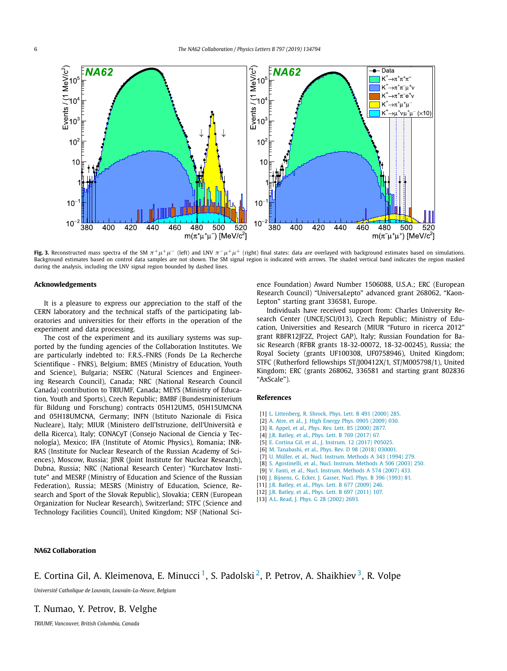<span id="page-5-0"></span>

**Fig. 3.** Reconstructed mass spectra of the SM  $\pi^+ \mu^+ \mu^-$  (left) and LNV  $\pi^- \mu^+ \mu^+$  (right) final states: data are overlayed with background estimates based on simulations. Background estimates based on control data samples are not shown. The SM signal region is indicated with arrows. The shaded vertical band indicates the region masked during the analysis, including the LNV signal region bounded by dashed lines.

#### **Acknowledgements**

It is a pleasure to express our appreciation to the staff of the CERN laboratory and the technical staffs of the participating laboratories and universities for their efforts in the operation of the experiment and data processing.

The cost of the experiment and its auxiliary systems was supported by the funding agencies of the Collaboration Institutes. We are particularly indebted to: F.R.S.-FNRS (Fonds De La Recherche Scientifique - FNRS), Belgium; BMES (Ministry of Education, Youth and Science), Bulgaria; NSERC (Natural Sciences and Engineering Research Council), Canada; NRC (National Research Council Canada) contribution to TRIUMF, Canada; MEYS (Ministry of Education, Youth and Sports), Czech Republic; BMBF (Bundesministerium für Bildung und Forschung) contracts 05H12UM5, 05H15UMCNA and 05H18UMCNA, Germany; INFN (Istituto Nazionale di Fisica Nucleare), Italy; MIUR (Ministero dell'Istruzione, dell'Università e della Ricerca), Italy; CONACyT (Consejo Nacional de Ciencia y Tecnología), Mexico; IFA (Institute of Atomic Physics), Romania; INR-RAS (Institute for Nuclear Research of the Russian Academy of Sciences), Moscow, Russia; JINR (Joint Institute for Nuclear Research), Dubna, Russia; NRC (National Research Center) "Kurchatov Institute" and MESRF (Ministry of Education and Science of the Russian Federation), Russia; MESRS (Ministry of Education, Science, Research and Sport of the Slovak Republic), Slovakia; CERN (European Organization for Nuclear Research), Switzerland; STFC (Science and Technology Facilities Council), United Kingdom; NSF (National Science Foundation) Award Number 1506088, U.S.A.; ERC (European Research Council) "UniversaLepto" advanced grant 268062, "Kaon-Lepton" starting grant 336581, Europe.

Individuals have received support from: Charles University Research Center (UNCE/SCI/013), Czech Republic; Ministry of Education, Universities and Research (MIUR "Futuro in ricerca 2012" grant RBFR12JF2Z, Project GAP), Italy; Russian Foundation for Basic Research (RFBR grants 18-32-00072, 18-32-00245), Russia; the Royal Society (grants UF100308, UF0758946), United Kingdom; STFC (Rutherford fellowships ST/J00412X/1, ST/M005798/1), United Kingdom; ERC (grants 268062, 336581 and starting grant 802836 "AxScale").

#### **References**

- [1] L. [Littenberg,](http://refhub.elsevier.com/S0370-2693(19)30498-8/bib6C693030s1) R. Shrock, Phys. Lett. B 491 (2000) 285.
- [2] A. Atre, et al., J. High [Energy](http://refhub.elsevier.com/S0370-2693(19)30498-8/bib61743039s1) Phys. 0905 (2009) 030.
- [3] R. Appel, et al., Phys. Rev. Lett. 85 [\(2000\)](http://refhub.elsevier.com/S0370-2693(19)30498-8/bib61703030s1) 2877.
- [4] J.R. Batley, et al., Phys. Lett. B 769 [\(2017\)](http://refhub.elsevier.com/S0370-2693(19)30498-8/bib62613137s1) 67.
- [5] E. Cortina Gil, et al., J. [Instrum.](http://refhub.elsevier.com/S0370-2693(19)30498-8/bib6E6136322D6465746563746F72s1) 12 (2017) P05025.
- [6] M. [Tanabashi,](http://refhub.elsevier.com/S0370-2693(19)30498-8/bib706467s1) et al., Phys. Rev. D 98 (2018) 030001
- [7] U. Müller, et al., Nucl. Instrum. [Methods](http://refhub.elsevier.com/S0370-2693(19)30498-8/bib6D753934s1) A 343 (1994) 279.
- [8] S. [Agostinelli,](http://refhub.elsevier.com/S0370-2693(19)30498-8/bib6765616E7434s1) et al., Nucl. Instrum. Methods A 506 (2003) 250.
- [9] V. Fanti, et al., Nucl. Instrum. [Methods](http://refhub.elsevier.com/S0370-2693(19)30498-8/bib6E613438s1) A 574 (2007) 433.
- [10] J. [Bijnens,](http://refhub.elsevier.com/S0370-2693(19)30498-8/bib62693932s1) G. Ecker, J. Gasser, Nucl. Phys. B 396 (1993) 81.
- [11] J.R. Batley, et al., Phys. Lett. B 677 [\(2009\)](http://refhub.elsevier.com/S0370-2693(19)30498-8/bib62613039s1) 246.
- [12] J.R. Batley, et al., Phys. Lett. B 697 [\(2011\)](http://refhub.elsevier.com/S0370-2693(19)30498-8/bib62613131s1) 107.
- [13] A.L. Read, J. Phys. G 28 [\(2002\)](http://refhub.elsevier.com/S0370-2693(19)30498-8/bib72653032s1) 2693.

#### **NA62 Collaboration**

## E. Cortina Gil, A. Kleimenova, E. Minucci<sup>[1](#page-8-0)</sup>, S. Padolski<sup>2</sup>, P. Petrov, A. Shaikhiev<sup>3</sup>, R. Volpe

*Université Catholique de Louvain, Louvain-La-Neuve, Belgium*

#### T. Numao, Y. Petrov, B. Velghe

*TRIUMF, Vancouver, British Columbia, Canada*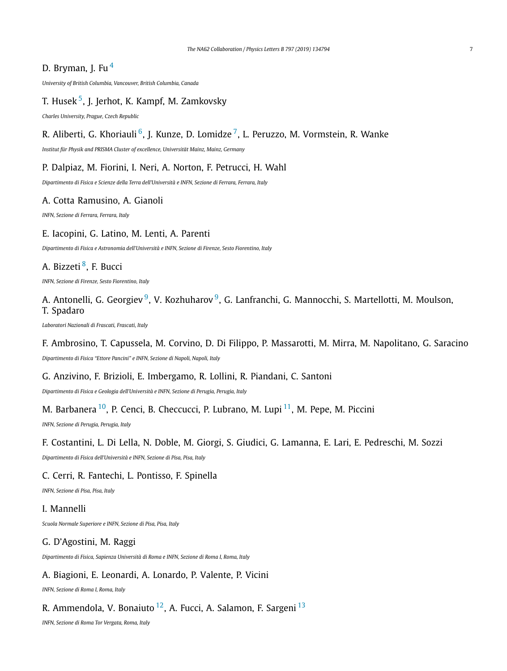## D. Bryman, J. Fu $<sup>4</sup>$  $<sup>4</sup>$  $<sup>4</sup>$ </sup>

*University of British Columbia, Vancouver, British Columbia, Canada*

## T. Husek [5,](#page-8-0) J. Jerhot, K. Kampf, M. Zamkovsky

*Charles University, Prague, Czech Republic*

## R. Aliberti, G. Khoriauli<sup>6</sup>, J. Kunze, D. Lomidze<sup>7</sup>, L. Peruzzo, M. Vormstein, R. Wanke

*Institut für Physik and PRISMA Cluster of excellence, Universität Mainz, Mainz, Germany*

### P. Dalpiaz, M. Fiorini, I. Neri, A. Norton, F. Petrucci, H. Wahl

*Dipartimento di Fisica e Scienze della Terra dell'Università e INFN, Sezione di Ferrara, Ferrara, Italy*

### A. Cotta Ramusino, A. Gianoli

*INFN, Sezione di Ferrara, Ferrara, Italy*

### E. Iacopini, G. Latino, M. Lenti, A. Parenti

*Dipartimento di Fisica e Astronomia dell'Università e INFN, Sezione di Firenze, Sesto Fiorentino, Italy*

## A. Bizzeti<sup>8</sup>, F. Bucci

*INFN, Sezione di Firenze, Sesto Fiorentino, Italy*

## A. Antonelli, G. Georgiev<sup>9</sup>, V. Kozhuharov<sup>9</sup>, G. Lanfranchi, G. Mannocchi, S. Martellotti, M. Moulson, T. Spadaro

*Laboratori Nazionali di Frascati, Frascati, Italy*

F. Ambrosino, T. Capussela, M. Corvino, D. Di Filippo, P. Massarotti, M. Mirra, M. Napolitano, G. Saracino

*Dipartimento di Fisica "Ettore Pancini" e INFN, Sezione di Napoli, Napoli, Italy*

### G. Anzivino, F. Brizioli, E. Imbergamo, R. Lollini, R. Piandani, C. Santoni

*Dipartimento di Fisica e Geologia dell'Università e INFN, Sezione di Perugia, Perugia, Italy*

## M. Barbanera  $^{10}$ , P. Cenci, B. Checcucci, P. Lubrano, M. Lupi  $^{11}$ , M. Pepe, M. Piccini

*INFN, Sezione di Perugia, Perugia, Italy*

### F. Costantini, L. Di Lella, N. Doble, M. Giorgi, S. Giudici, G. Lamanna, E. Lari, E. Pedreschi, M. Sozzi

*Dipartimento di Fisica dell'Università e INFN, Sezione di Pisa, Pisa, Italy*

### C. Cerri, R. Fantechi, L. Pontisso, F. Spinella

*INFN, Sezione di Pisa, Pisa, Italy*

### I. Mannelli

*Scuola Normale Superiore e INFN, Sezione di Pisa, Pisa, Italy*

### G. D'Agostini, M. Raggi

*Dipartimento di Fisica, Sapienza Università di Roma e INFN, Sezione di Roma I, Roma, Italy*

## A. Biagioni, E. Leonardi, A. Lonardo, P. Valente, P. Vicini

*INFN, Sezione di Roma I, Roma, Italy*

## R. Ammendola, V. Bonaiuto  $12$ , A. Fucci, A. Salamon, F. Sargeni  $13$

*INFN, Sezione di Roma Tor Vergata, Roma, Italy*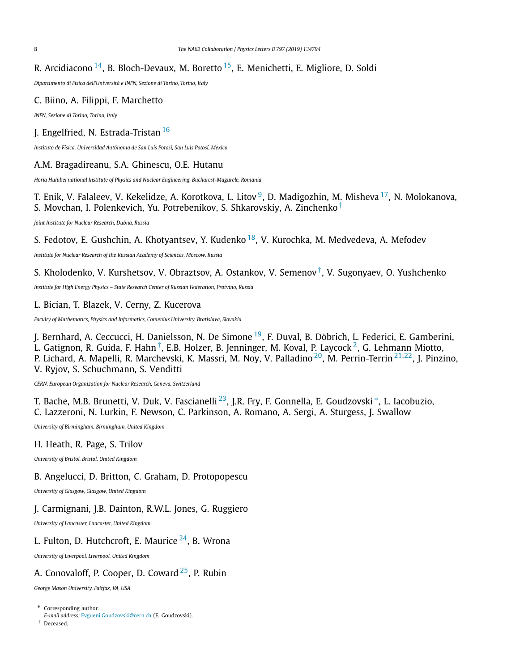## R. Arcidiacono  $14$ , B. Bloch-Devaux, M. Boretto  $15$ , E. Menichetti, E. Migliore, D. Soldi

*Dipartimento di Fisica dell'Università e INFN, Sezione di Torino, Torino, Italy*

## C. Biino, A. Filippi, F. Marchetto

*INFN, Sezione di Torino, Torino, Italy*

## J. Engelfried, N. Estrada-Tristan<sup>[16](#page-8-0)</sup>

*Instituto de Física, Universidad Autónoma de San Luis Potosí, San Luis Potosí, Mexico*

## A.M. Bragadireanu, S.A. Ghinescu, O.E. Hutanu

*Horia Hulubei national Institute of Physics and Nuclear Engineering, Bucharest-Magurele, Romania*

T. Enik, V. Falaleev, V. Kekelidze, A. Korotkova, L. Litov<sup>9</sup>, D. Madigozhin, M. Misheva <sup>17</sup>, N. Molokanova, S. Movchan, I. Polenkevich, Yu. Potrebenikov, S. Shkarovskiy, A. Zinchenko †

*Joint Institute for Nuclear Research, Dubna, Russia*

## S. Fedotov, E. Gushchin, A. Khotyantsev, Y. Kudenko <sup>18</sup>, V. Kurochka, M. Medvedeva, A. Mefodev

*Institute for Nuclear Research of the Russian Academy of Sciences, Moscow, Russia*

## S. Kholodenko, V. Kurshetsov, V. Obraztsov, A. Ostankov, V. Semenov †, V. Sugonyaev, O. Yushchenko

*Institute for High Energy Physics – State Research Center of Russian Federation, Protvino, Russia*

### L. Bician, T. Blazek, V. Cerny, Z. Kucerova

*Faculty of Mathematics, Physics and Informatics, Comenius University, Bratislava, Slovakia*

J. Bernhard, A. Ceccucci, H. Danielsson, N. De Simone [19](#page-8-0), F. Duval, B. Döbrich, L. Federici, E. Gamberini, L. Gatignon, R. Guida, F. Hahn<sup>†</sup>, E.B. Holzer, B. Jenninger, M. Koval, P. Laycock<sup>2</sup>, G. Lehmann Miotto, P. Lichard, A. Mapelli, R. Marchevski, K. Massri, M. Noy, V. Palladino [20,](#page-8-0) M. Perrin-Terrin [21](#page-8-0)*,*[22,](#page-8-0) J. Pinzino, V. Ryjov, S. Schuchmann, S. Venditti

*CERN, European Organization for Nuclear Research, Geneva, Switzerland*

T. Bache, M.B. Brunetti, V. Duk, V. Fascianelli<sup>23</sup>, J.R. Fry, F. Gonnella, E. Goudzovski<sup>∗</sup>, L. Iacobuzio, C. Lazzeroni, N. Lurkin, F. Newson, C. Parkinson, A. Romano, A. Sergi, A. Sturgess, J. Swallow

*University of Birmingham, Birmingham, United Kingdom*

### H. Heath, R. Page, S. Trilov

*University of Bristol, Bristol, United Kingdom*

### B. Angelucci, D. Britton, C. Graham, D. Protopopescu

*University of Glasgow, Glasgow, United Kingdom*

### J. Carmignani, J.B. Dainton, R.W.L. Jones, G. Ruggiero

*University of Lancaster, Lancaster, United Kingdom*

## L. Fulton, D. Hutchcroft, E. Maurice  $^{24}$ . B. Wrona

*University of Liverpool, Liverpool, United Kingdom*

## A. Conovaloff, P. Cooper, D. Coward  $2^5$ , P. Rubin

*George Mason University, Fairfax, VA, USA*

- \* Corresponding author.
- *E-mail address:* [Evgueni.Goudzovski@cern.ch](mailto:Evgueni.Goudzovski@cern.ch) (E. Goudzovski).
- † Deceased.